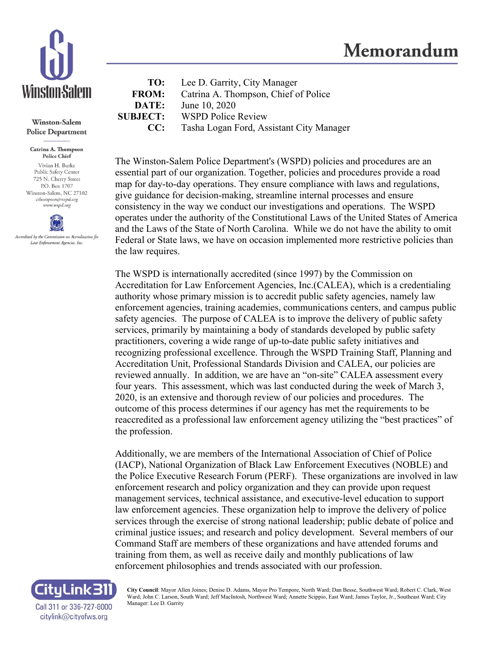

**Winston-Salem Police Department** 

Catrina A. Thompson **Police Chief** Vivian H. Burke Public Safety Center 725 N. Cherry Street P.O. Box 1707 Winston-Salem, NC 27102 cthompson@wspd.org www.wspd.org



**TO:** Lee D. Garrity, City Manager **FROM:** Catrina A. Thompson, Chief of Police **DATE:** June 10, 2020 **SUBJECT:** WSPD Police Review **CC:** Tasha Logan Ford, Assistant City Manager

The Winston-Salem Police Department's (WSPD) policies and procedures are an essential part of our organization. Together, policies and procedures provide a road map for day-to-day operations. They ensure compliance with laws and regulations, give guidance for decision-making, streamline internal processes and ensure consistency in the way we conduct our investigations and operations. The WSPD operates under the authority of the Constitutional Laws of the United States of America and the Laws of the State of North Carolina. While we do not have the ability to omit Federal or State laws, we have on occasion implemented more restrictive policies than the law requires.

The WSPD is internationally accredited (since 1997) by the Commission on Accreditation for Law Enforcement Agencies, Inc.(CALEA), which is a credentialing authority whose primary mission is to accredit public safety agencies, namely law enforcement agencies, training academies, communications centers, and campus public safety agencies. The purpose of CALEA is to improve the delivery of public safety services, primarily by maintaining a body of standards developed by public safety practitioners, covering a wide range of up-to-date public safety initiatives and recognizing professional excellence. Through the WSPD Training Staff, Planning and Accreditation Unit, Professional Standards Division and CALEA, our policies are reviewed annually. In addition, we are have an "on-site" CALEA assessment every four years. This assessment, which was last conducted during the week of March 3, 2020, is an extensive and thorough review of our policies and procedures. The outcome of this process determines if our agency has met the requirements to be reaccredited as a professional law enforcement agency utilizing the "best practices" of the profession.

Additionally, we are members of the International Association of Chief of Police (IACP), National Organization of Black Law Enforcement Executives (NOBLE) and the Police Executive Research Forum (PERF). These organizations are involved in law enforcement research and policy organization and they can provide upon request management services, technical assistance, and executive-level education to support law enforcement agencies. These organization help to improve the delivery of police services through the exercise of strong national leadership; public debate of police and criminal justice issues; and research and policy development. Several members of our Command Staff are members of these organizations and have attended forums and training from them, as well as receive daily and monthly publications of law enforcement philosophies and trends associated with our profession.



**City Council**: Mayor Allen Joines; Denise D. Adams, Mayor Pro Tempore, North Ward; Dan Besse, Southwest Ward; Robert C. Clark, West Ward; John C. Larson, South Ward; Jeff MacIntosh, Northwest Ward; Annette Scippio, East Ward; James Taylor, Jr., Southeast Ward; City Manager: Lee D. Garrity